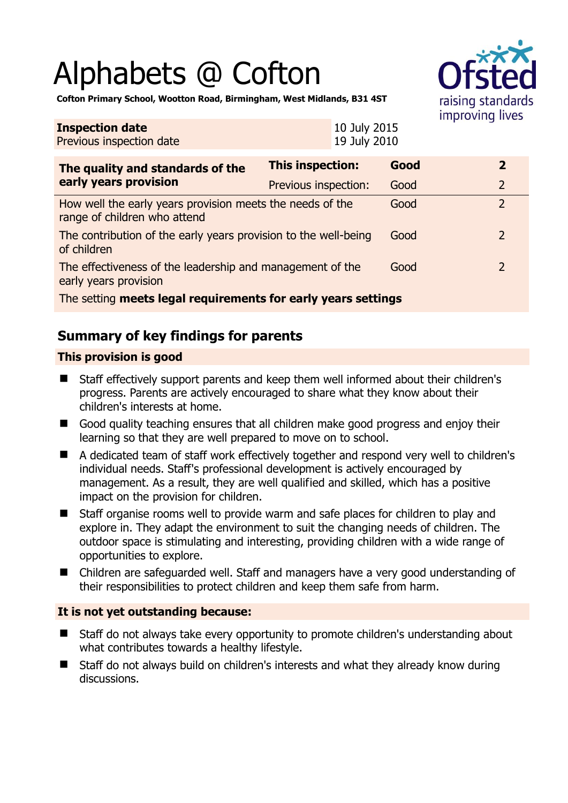# Alphabets @ Cofton



**Cofton Primary School, Wootton Road, Birmingham, West Midlands, B31 4ST** 

| <b>Inspection date</b><br>Previous inspection date                                        |                         | 10 July 2015<br>19 July 2010 |      |  |                |  |
|-------------------------------------------------------------------------------------------|-------------------------|------------------------------|------|--|----------------|--|
| The quality and standards of the<br>early years provision                                 | <b>This inspection:</b> |                              | Good |  | $\overline{2}$ |  |
|                                                                                           | Previous inspection:    |                              | Good |  | $\overline{2}$ |  |
| How well the early years provision meets the needs of the<br>range of children who attend |                         |                              | Good |  | $\overline{2}$ |  |
| The contribution of the early years provision to the well-being<br>of children            |                         |                              | Good |  | 2              |  |
| The effectiveness of the leadership and management of the<br>early years provision        |                         |                              | Good |  | 2              |  |
| The setting meets legal requirements for early years settings                             |                         |                              |      |  |                |  |

# **Summary of key findings for parents**

#### **This provision is good**

- Staff effectively support parents and keep them well informed about their children's progress. Parents are actively encouraged to share what they know about their children's interests at home.
- Good quality teaching ensures that all children make good progress and enjoy their learning so that they are well prepared to move on to school.
- A dedicated team of staff work effectively together and respond very well to children's individual needs. Staff's professional development is actively encouraged by management. As a result, they are well qualified and skilled, which has a positive impact on the provision for children.
- Staff organise rooms well to provide warm and safe places for children to play and explore in. They adapt the environment to suit the changing needs of children. The outdoor space is stimulating and interesting, providing children with a wide range of opportunities to explore.
- Children are safeguarded well. Staff and managers have a very good understanding of their responsibilities to protect children and keep them safe from harm.

#### **It is not yet outstanding because:**

- Staff do not always take every opportunity to promote children's understanding about what contributes towards a healthy lifestyle.
- Staff do not always build on children's interests and what they already know during discussions.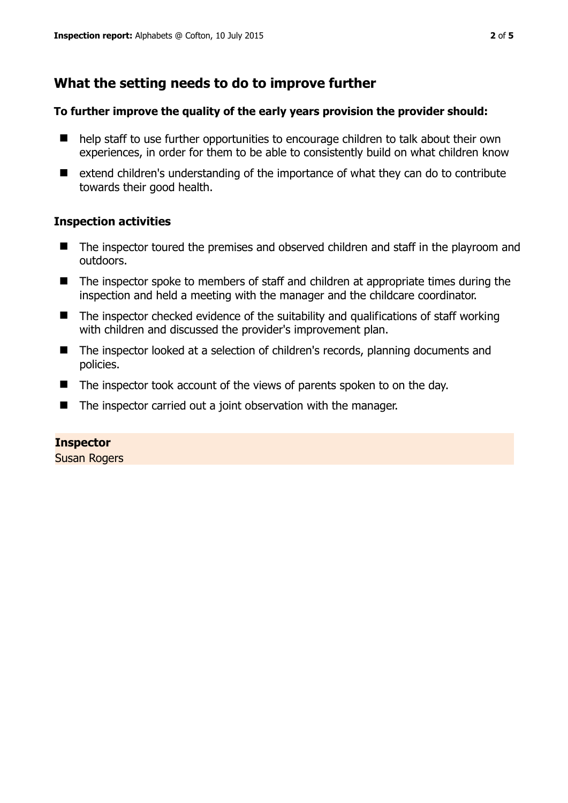# **What the setting needs to do to improve further**

#### **To further improve the quality of the early years provision the provider should:**

- help staff to use further opportunities to encourage children to talk about their own experiences, in order for them to be able to consistently build on what children know
- extend children's understanding of the importance of what they can do to contribute towards their good health.

#### **Inspection activities**

- The inspector toured the premises and observed children and staff in the playroom and outdoors.
- The inspector spoke to members of staff and children at appropriate times during the inspection and held a meeting with the manager and the childcare coordinator.
- $\blacksquare$  The inspector checked evidence of the suitability and qualifications of staff working with children and discussed the provider's improvement plan.
- The inspector looked at a selection of children's records, planning documents and policies.
- The inspector took account of the views of parents spoken to on the day.
- The inspector carried out a joint observation with the manager.

#### **Inspector**

Susan Rogers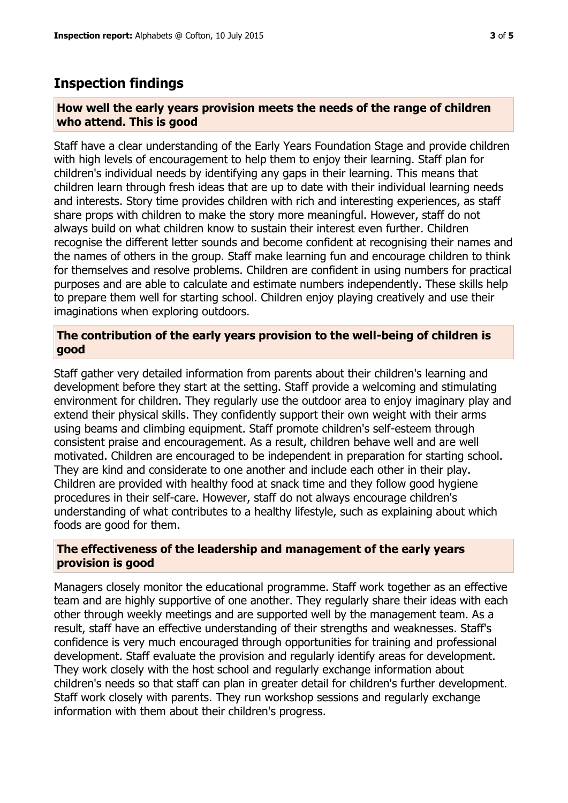## **Inspection findings**

#### **How well the early years provision meets the needs of the range of children who attend. This is good**

Staff have a clear understanding of the Early Years Foundation Stage and provide children with high levels of encouragement to help them to enjoy their learning. Staff plan for children's individual needs by identifying any gaps in their learning. This means that children learn through fresh ideas that are up to date with their individual learning needs and interests. Story time provides children with rich and interesting experiences, as staff share props with children to make the story more meaningful. However, staff do not always build on what children know to sustain their interest even further. Children recognise the different letter sounds and become confident at recognising their names and the names of others in the group. Staff make learning fun and encourage children to think for themselves and resolve problems. Children are confident in using numbers for practical purposes and are able to calculate and estimate numbers independently. These skills help to prepare them well for starting school. Children enjoy playing creatively and use their imaginations when exploring outdoors.

#### **The contribution of the early years provision to the well-being of children is good**

Staff gather very detailed information from parents about their children's learning and development before they start at the setting. Staff provide a welcoming and stimulating environment for children. They regularly use the outdoor area to enjoy imaginary play and extend their physical skills. They confidently support their own weight with their arms using beams and climbing equipment. Staff promote children's self-esteem through consistent praise and encouragement. As a result, children behave well and are well motivated. Children are encouraged to be independent in preparation for starting school. They are kind and considerate to one another and include each other in their play. Children are provided with healthy food at snack time and they follow good hygiene procedures in their self-care. However, staff do not always encourage children's understanding of what contributes to a healthy lifestyle, such as explaining about which foods are good for them.

#### **The effectiveness of the leadership and management of the early years provision is good**

Managers closely monitor the educational programme. Staff work together as an effective team and are highly supportive of one another. They regularly share their ideas with each other through weekly meetings and are supported well by the management team. As a result, staff have an effective understanding of their strengths and weaknesses. Staff's confidence is very much encouraged through opportunities for training and professional development. Staff evaluate the provision and regularly identify areas for development. They work closely with the host school and regularly exchange information about children's needs so that staff can plan in greater detail for children's further development. Staff work closely with parents. They run workshop sessions and regularly exchange information with them about their children's progress.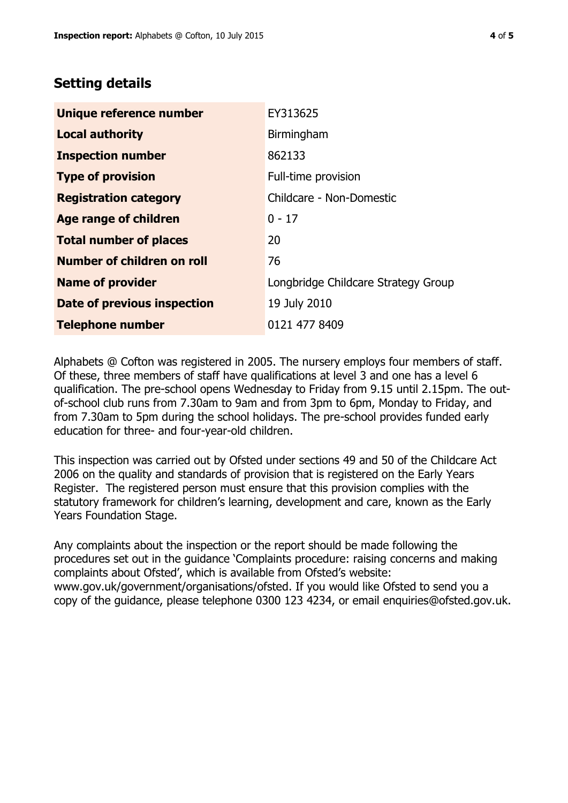### **Setting details**

| Unique reference number       | EY313625                            |
|-------------------------------|-------------------------------------|
| <b>Local authority</b>        | Birmingham                          |
| <b>Inspection number</b>      | 862133                              |
| <b>Type of provision</b>      | Full-time provision                 |
| <b>Registration category</b>  | Childcare - Non-Domestic            |
| Age range of children         | $0 - 17$                            |
| <b>Total number of places</b> | 20                                  |
| Number of children on roll    | 76                                  |
| <b>Name of provider</b>       | Longbridge Childcare Strategy Group |
| Date of previous inspection   | 19 July 2010                        |
| <b>Telephone number</b>       | 0121 477 8409                       |

Alphabets @ Cofton was registered in 2005. The nursery employs four members of staff. Of these, three members of staff have qualifications at level 3 and one has a level 6 qualification. The pre-school opens Wednesday to Friday from 9.15 until 2.15pm. The outof-school club runs from 7.30am to 9am and from 3pm to 6pm, Monday to Friday, and from 7.30am to 5pm during the school holidays. The pre-school provides funded early education for three- and four-year-old children.

This inspection was carried out by Ofsted under sections 49 and 50 of the Childcare Act 2006 on the quality and standards of provision that is registered on the Early Years Register. The registered person must ensure that this provision complies with the statutory framework for children's learning, development and care, known as the Early Years Foundation Stage.

Any complaints about the inspection or the report should be made following the procedures set out in the guidance 'Complaints procedure: raising concerns and making complaints about Ofsted', which is available from Ofsted's website: www.gov.uk/government/organisations/ofsted. If you would like Ofsted to send you a copy of the guidance, please telephone 0300 123 4234, or email enquiries@ofsted.gov.uk.